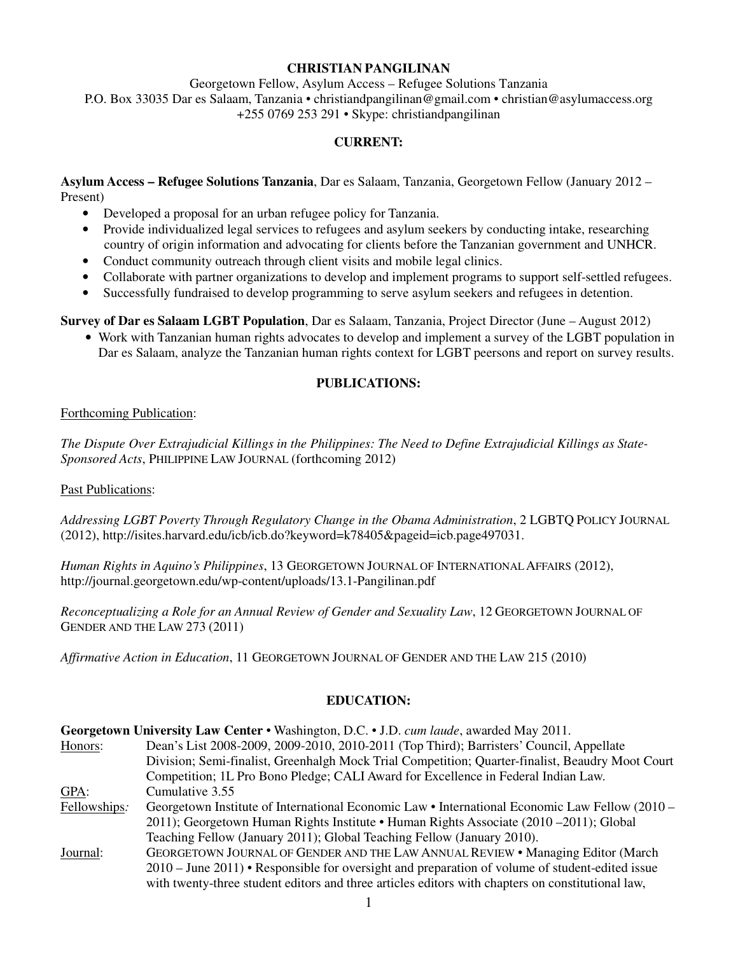### **CHRISTIAN PANGILINAN**

Georgetown Fellow, Asylum Access – Refugee Solutions Tanzania P.O. Box 33035 Dar es Salaam, Tanzania • christiandpangilinan@gmail.com • christian@asylumaccess.org +255 0769 253 291 • Skype: christiandpangilinan

# **CURRENT:**

**Asylum Access – Refugee Solutions Tanzania**, Dar es Salaam, Tanzania, Georgetown Fellow (January 2012 – Present)

- Developed a proposal for an urban refugee policy for Tanzania.
- Provide individualized legal services to refugees and asylum seekers by conducting intake, researching country of origin information and advocating for clients before the Tanzanian government and UNHCR.
- Conduct community outreach through client visits and mobile legal clinics.
- Collaborate with partner organizations to develop and implement programs to support self-settled refugees.
- Successfully fundraised to develop programming to serve asylum seekers and refugees in detention.

**Survey of Dar es Salaam LGBT Population**, Dar es Salaam, Tanzania, Project Director (June – August 2012)

• Work with Tanzanian human rights advocates to develop and implement a survey of the LGBT population in Dar es Salaam, analyze the Tanzanian human rights context for LGBT peersons and report on survey results.

### **PUBLICATIONS:**

### Forthcoming Publication:

*The Dispute Over Extrajudicial Killings in the Philippines: The Need to Define Extrajudicial Killings as State-Sponsored Acts*, PHILIPPINE LAW JOURNAL (forthcoming 2012)

### Past Publications:

*Addressing LGBT Poverty Through Regulatory Change in the Obama Administration*, 2 LGBTQ POLICY JOURNAL (2012), http://isites.harvard.edu/icb/icb.do?keyword=k78405&pageid=icb.page497031.

*Human Rights in Aquino's Philippines*, 13 GEORGETOWN JOURNAL OF INTERNATIONAL AFFAIRS (2012), http://journal.georgetown.edu/wp-content/uploads/13.1-Pangilinan.pdf

*Reconceptualizing a Role for an Annual Review of Gender and Sexuality Law*, 12 GEORGETOWN JOURNAL OF GENDER AND THE LAW 273 (2011)

*Affirmative Action in Education*, 11 GEORGETOWN JOURNAL OF GENDER AND THE LAW 215 (2010)

### **EDUCATION:**

| Georgetown University Law Center • Washington, D.C. • J.D. cum laude, awarded May 2011. |                                                                                                   |  |
|-----------------------------------------------------------------------------------------|---------------------------------------------------------------------------------------------------|--|
| Honors:                                                                                 | Dean's List 2008-2009, 2009-2010, 2010-2011 (Top Third); Barristers' Council, Appellate           |  |
|                                                                                         | Division; Semi-finalist, Greenhalgh Mock Trial Competition; Quarter-finalist, Beaudry Moot Court  |  |
|                                                                                         | Competition; 1L Pro Bono Pledge; CALI Award for Excellence in Federal Indian Law.                 |  |
| GPA:                                                                                    | Cumulative 3.55                                                                                   |  |
| Fellowships:                                                                            | Georgetown Institute of International Economic Law • International Economic Law Fellow (2010 –    |  |
|                                                                                         | 2011); Georgetown Human Rights Institute • Human Rights Associate (2010 – 2011); Global           |  |
|                                                                                         | Teaching Fellow (January 2011); Global Teaching Fellow (January 2010).                            |  |
| Journal:                                                                                | GEORGETOWN JOURNAL OF GENDER AND THE LAW ANNUAL REVIEW . Managing Editor (March                   |  |
|                                                                                         | 2010 – June 2011) • Responsible for oversight and preparation of volume of student-edited issue   |  |
|                                                                                         | with twenty-three student editors and three articles editors with chapters on constitutional law, |  |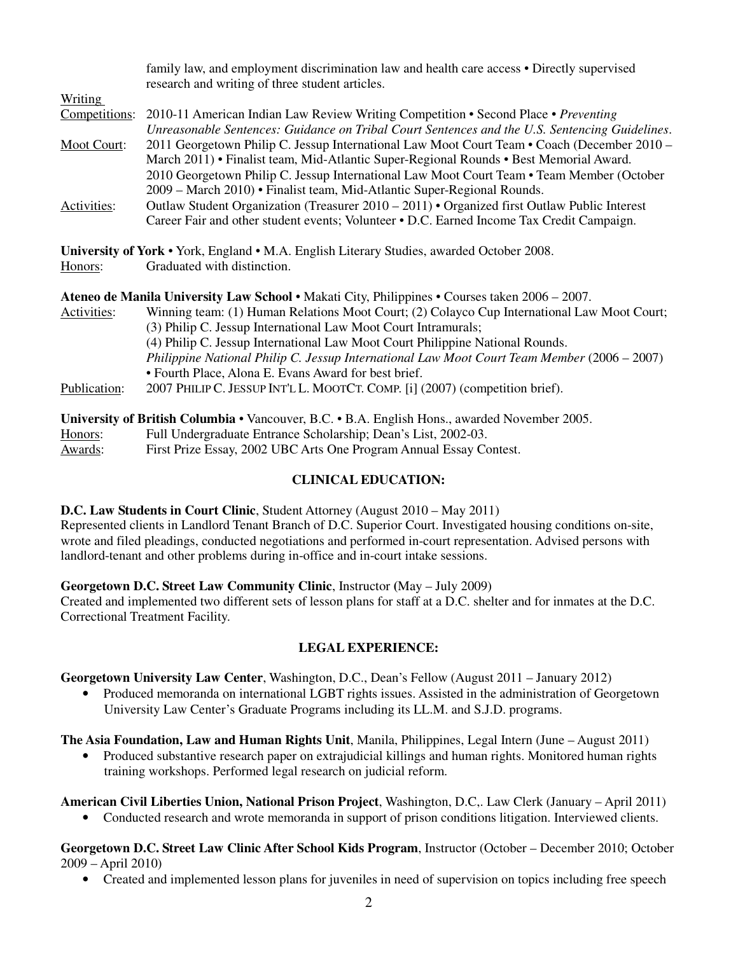|                                                                                                | family law, and employment discrimination law and health care access • Directly supervised<br>research and writing of three student articles.                                                                                                                                                                                                                 |  |
|------------------------------------------------------------------------------------------------|---------------------------------------------------------------------------------------------------------------------------------------------------------------------------------------------------------------------------------------------------------------------------------------------------------------------------------------------------------------|--|
| <b>Writing</b>                                                                                 |                                                                                                                                                                                                                                                                                                                                                               |  |
| Competitions:                                                                                  | 2010-11 American Indian Law Review Writing Competition • Second Place • Preventing<br>Unreasonable Sentences: Guidance on Tribal Court Sentences and the U.S. Sentencing Guidelines.                                                                                                                                                                          |  |
| Moot Court:                                                                                    | 2011 Georgetown Philip C. Jessup International Law Moot Court Team • Coach (December 2010 –<br>March 2011) • Finalist team, Mid-Atlantic Super-Regional Rounds • Best Memorial Award.<br>2010 Georgetown Philip C. Jessup International Law Moot Court Team • Team Member (October<br>2009 – March 2010) • Finalist team, Mid-Atlantic Super-Regional Rounds. |  |
| Activities:                                                                                    | Outlaw Student Organization (Treasurer $2010 - 2011$ ) • Organized first Outlaw Public Interest<br>Career Fair and other student events; Volunteer • D.C. Earned Income Tax Credit Campaign.                                                                                                                                                                  |  |
|                                                                                                | University of York • York, England • M.A. English Literary Studies, awarded October 2008.                                                                                                                                                                                                                                                                     |  |
| Honors:                                                                                        | Graduated with distinction.                                                                                                                                                                                                                                                                                                                                   |  |
| Ateneo de Manila University Law School • Makati City, Philippines • Courses taken 2006 – 2007. |                                                                                                                                                                                                                                                                                                                                                               |  |
| Activities:                                                                                    | Winning team: (1) Human Relations Moot Court; (2) Colayco Cup International Law Moot Court;<br>(3) Philip C. Jessup International Law Moot Court Intramurals;<br>(4) Philip C. Jessup International Law Moot Court Philippine National Rounds.                                                                                                                |  |
|                                                                                                | Philippine National Philip C. Jessup International Law Moot Court Team Member (2006 - 2007)<br>• Fourth Place, Alona E. Evans Award for best brief.                                                                                                                                                                                                           |  |
| Publication:                                                                                   | 2007 PHILIP C. JESSUP INT'L L. MOOTCT. COMP. [i] (2007) (competition brief).                                                                                                                                                                                                                                                                                  |  |
|                                                                                                | University of British Columbia • Vancouver, B.C. • B.A. English Hons., awarded November 2005.                                                                                                                                                                                                                                                                 |  |
| Honors:                                                                                        | Full Undergraduate Entrance Scholarship; Dean's List, 2002-03.                                                                                                                                                                                                                                                                                                |  |
| Awards:                                                                                        | First Prize Essay, 2002 UBC Arts One Program Annual Essay Contest.                                                                                                                                                                                                                                                                                            |  |

# **CLINICAL EDUCATION:**

**D.C. Law Students in Court Clinic**, Student Attorney (August 2010 – May 2011)

Represented clients in Landlord Tenant Branch of D.C. Superior Court. Investigated housing conditions on-site, wrote and filed pleadings, conducted negotiations and performed in-court representation. Advised persons with landlord-tenant and other problems during in-office and in-court intake sessions.

# **Georgetown D.C. Street Law Community Clinic**, Instructor **(**May – July 2009)

Created and implemented two different sets of lesson plans for staff at a D.C. shelter and for inmates at the D.C. Correctional Treatment Facility.

# **LEGAL EXPERIENCE:**

**Georgetown University Law Center**, Washington, D.C., Dean's Fellow (August 2011 – January 2012)

• Produced memoranda on international LGBT rights issues. Assisted in the administration of Georgetown University Law Center's Graduate Programs including its LL.M. and S.J.D. programs.

**The Asia Foundation, Law and Human Rights Unit**, Manila, Philippines, Legal Intern (June – August 2011)

• Produced substantive research paper on extrajudicial killings and human rights. Monitored human rights training workshops. Performed legal research on judicial reform.

**American Civil Liberties Union, National Prison Project**, Washington, D.C,. Law Clerk (January – April 2011)

• Conducted research and wrote memoranda in support of prison conditions litigation. Interviewed clients.

## **Georgetown D.C. Street Law Clinic After School Kids Program**, Instructor (October – December 2010; October 2009 – April 2010)

• Created and implemented lesson plans for juveniles in need of supervision on topics including free speech